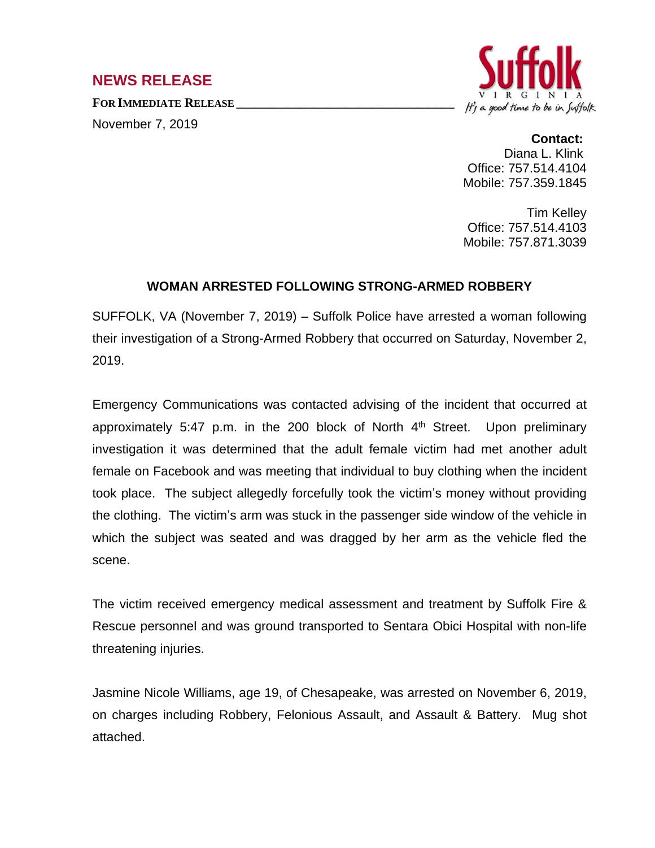## **NEWS RELEASE**

**FOR IMMEDIATE RELEASE \_\_\_\_\_\_\_\_\_\_\_\_\_\_\_\_\_\_\_\_\_\_\_\_\_\_\_\_\_\_\_\_\_\_**

November 7, 2019



**Contact:**

Diana L. Klink Office: 757.514.4104 Mobile: 757.359.1845

Tim Kelley Office: 757.514.4103 Mobile: 757.871.3039

## **WOMAN ARRESTED FOLLOWING STRONG-ARMED ROBBERY**

SUFFOLK, VA (November 7, 2019) – Suffolk Police have arrested a woman following their investigation of a Strong-Armed Robbery that occurred on Saturday, November 2, 2019.

Emergency Communications was contacted advising of the incident that occurred at approximately 5:47 p.m. in the 200 block of North 4<sup>th</sup> Street. Upon preliminary investigation it was determined that the adult female victim had met another adult female on Facebook and was meeting that individual to buy clothing when the incident took place. The subject allegedly forcefully took the victim's money without providing the clothing. The victim's arm was stuck in the passenger side window of the vehicle in which the subject was seated and was dragged by her arm as the vehicle fled the scene.

The victim received emergency medical assessment and treatment by Suffolk Fire & Rescue personnel and was ground transported to Sentara Obici Hospital with non-life threatening injuries.

Jasmine Nicole Williams, age 19, of Chesapeake, was arrested on November 6, 2019, on charges including Robbery, Felonious Assault, and Assault & Battery. Mug shot attached.